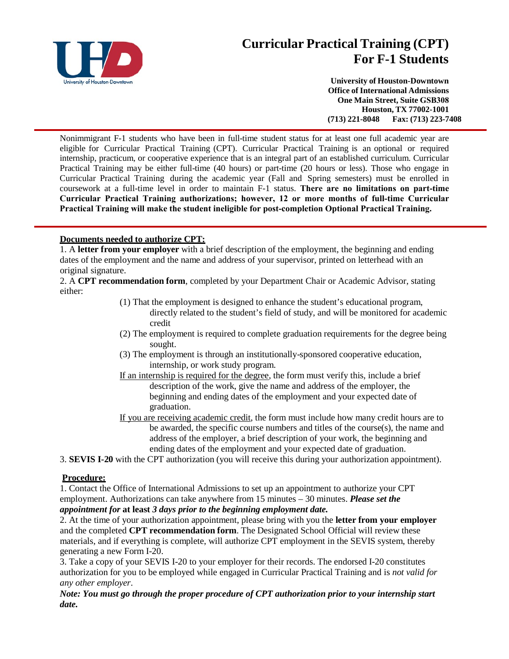

## **Curricular Practical Training (CPT) For F-1 Students**

**University of Houston-Downtown Office of International Admissions One Main Street, Suite GSB308 Houston, TX 77002-1001 (713) 221-8048 Fax: (713) 223-7408**

Nonimmigrant F-1 students who have been in full-time student status for at least one full academic year are eligible for Curricular Practical Training (CPT). Curricular Practical Training is an optional or required internship, practicum, or cooperative experience that is an integral part of an established curriculum. Curricular Practical Training may be either full-time (40 hours) or part-time (20 hours or less). Those who engage in Curricular Practical Training during the academic year (Fall and Spring semesters) must be enrolled in coursework at a full-time level in order to maintain F-1 status. **There are no limitations on part-time Curricular Practical Training authorizations; however, 12 or more months of full-time Curricular Practical Training will make the student ineligible for post-completion Optional Practical Training.** 

## **Documents needed to authorize CPT:**

1. A **letter from your employer** with a brief description of the employment, the beginning and ending dates of the employment and the name and address of your supervisor, printed on letterhead with an original signature.

2. A **CPT recommendation form**, completed by your Department Chair or Academic Advisor, stating either:

- (1) That the employment is designed to enhance the student's educational program, directly related to the student's field of study, and will be monitored for academic credit
- (2) The employment is required to complete graduation requirements for the degree being sought.
- (3) The employment is through an institutionally-sponsored cooperative education, internship, or work study program.
- If an internship is required for the degree, the form must verify this, include a brief description of the work, give the name and address of the employer, the beginning and ending dates of the employment and your expected date of graduation.
- If you are receiving academic credit, the form must include how many credit hours are to be awarded, the specific course numbers and titles of the course(s), the name and address of the employer, a brief description of your work, the beginning and ending dates of the employment and your expected date of graduation.

3. **SEVIS I-20** with the CPT authorization (you will receive this during your authorization appointment).

## **Procedure:**

1. Contact the Office of International Admissions to set up an appointment to authorize your CPT employment. Authorizations can take anywhere from 15 minutes – 30 minutes. *Please set the appointment for* **at least** *3 days prior to the beginning employment date.*

2. At the time of your authorization appointment, please bring with you the **letter from your employer** and the completed **CPT recommendation form**. The Designated School Official will review these materials, and if everything is complete, will authorize CPT employment in the SEVIS system, thereby generating a new Form I-20.

3. Take a copy of your SEVIS I-20 to your employer for their records. The endorsed I-20 constitutes authorization for you to be employed while engaged in Curricular Practical Training and is *not valid for any other employer*.

*Note: You must go through the proper procedure of CPT authorization prior to your internship start date.*